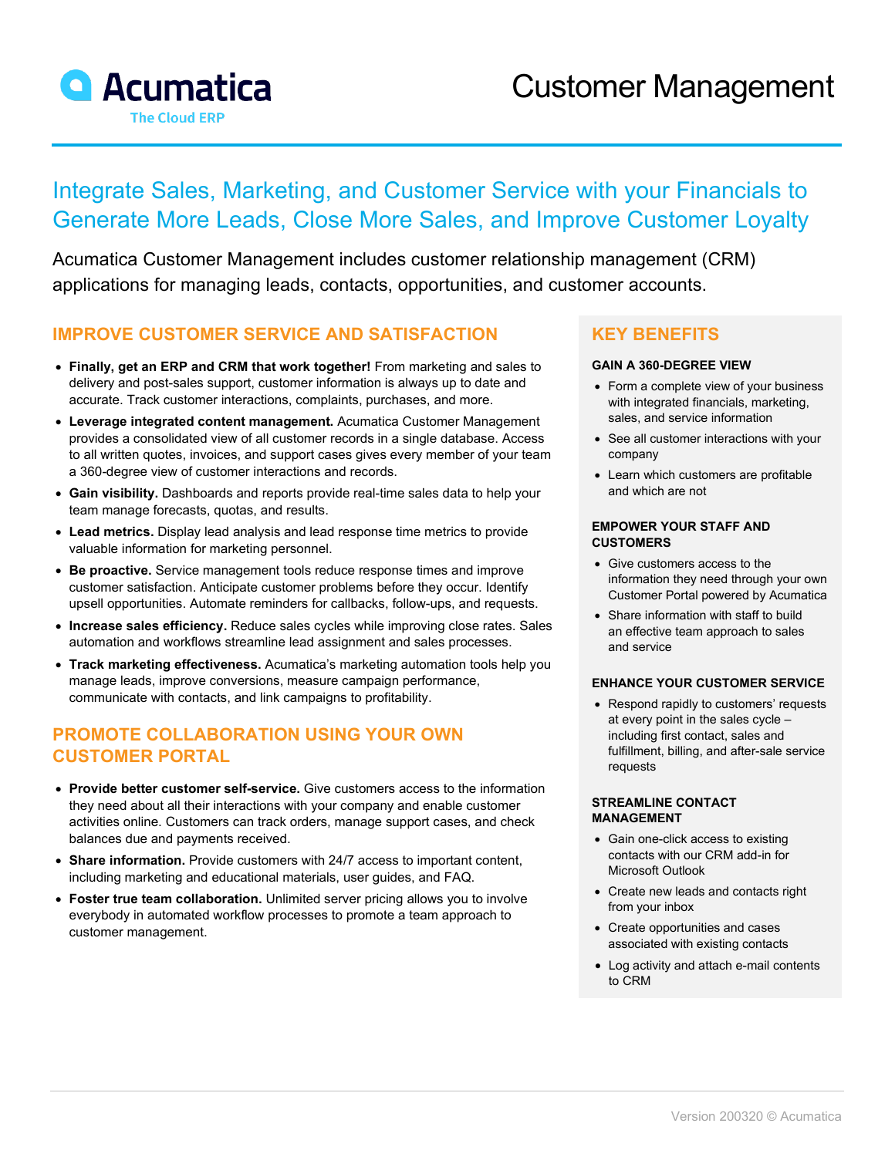

# Integrate Sales, Marketing, and Customer Service with your Financials to Generate More Leads, Close More Sales, and Improve Customer Loyalty

Acumatica Customer Management includes customer relationship management (CRM) applications for managing leads, contacts, opportunities, and customer accounts.

### **IMPROVE CUSTOMER SERVICE AND SATISFACTION**

- **Finally, get an ERP and CRM that work together!** From marketing and sales to delivery and post-sales support, customer information is always up to date and accurate. Track customer interactions, complaints, purchases, and more.
- **Leverage integrated content management.** Acumatica Customer Management provides a consolidated view of all customer records in a single database. Access to all written quotes, invoices, and support cases gives every member of your team a 360-degree view of customer interactions and records.
- **Gain visibility.** Dashboards and reports provide real-time sales data to help your team manage forecasts, quotas, and results.
- **Lead metrics.** Display lead analysis and lead response time metrics to provide valuable information for marketing personnel.
- **Be proactive.** Service management tools reduce response times and improve customer satisfaction. Anticipate customer problems before they occur. Identify upsell opportunities. Automate reminders for callbacks, follow-ups, and requests.
- **Increase sales efficiency.** Reduce sales cycles while improving close rates. Sales automation and workflows streamline lead assignment and sales processes.
- **Track marketing effectiveness.** Acumatica's marketing automation tools help you manage leads, improve conversions, measure campaign performance, communicate with contacts, and link campaigns to profitability.

## **PROMOTE COLLABORATION USING YOUR OWN CUSTOMER PORTAL**

- **Provide better customer self-service.** Give customers access to the information they need about all their interactions with your company and enable customer activities online. Customers can track orders, manage support cases, and check balances due and payments received.
- **Share information.** Provide customers with 24/7 access to important content, including marketing and educational materials, user guides, and FAQ.
- **Foster true team collaboration.** Unlimited server pricing allows you to involve everybody in automated workflow processes to promote a team approach to customer management.

### **KEY BENEFITS**

#### **GAIN A 360-DEGREE VIEW**

- Form a complete view of your business with integrated financials, marketing, sales, and service information
- See all customer interactions with your company
- Learn which customers are profitable and which are not

#### **EMPOWER YOUR STAFF AND CUSTOMERS**

- Give customers access to the information they need through your own Customer Portal powered by Acumatica
- Share information with staff to build an effective team approach to sales and service

#### **ENHANCE YOUR CUSTOMER SERVICE**

• Respond rapidly to customers' requests at every point in the sales cycle – including first contact, sales and fulfillment, billing, and after-sale service requests

#### **STREAMLINE CONTACT MANAGEMENT**

- Gain one-click access to existing contacts with our CRM add-in for Microsoft Outlook
- Create new leads and contacts right from your inbox
- Create opportunities and cases associated with existing contacts
- Log activity and attach e-mail contents to CRM